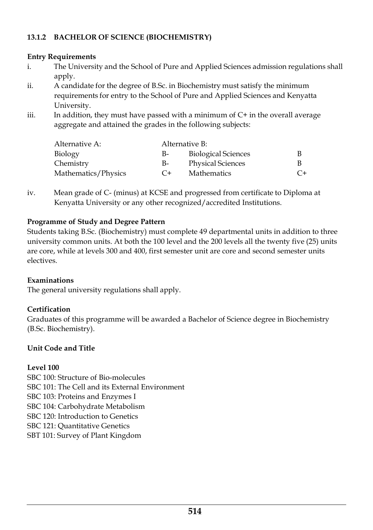# **13.1.2 BACHELOR OF SCIENCE (BIOCHEMISTRY)**

#### **Entry Requirements**

- i. The University and the School of Pure and Applied Sciences admission regulations shall apply.
- ii. A candidate for the degree of B.Sc. in Biochemistry must satisfy the minimum requirements for entry to the School of Pure and Applied Sciences and Kenyatta University.
- iii. In addition, they must have passed with a minimum of  $C+$  in the overall average aggregate and attained the grades in the following subjects:

| Alternative A:      | Alternative B: |                            |         |
|---------------------|----------------|----------------------------|---------|
| Biology             | B-             | <b>Biological Sciences</b> |         |
| Chemistry           | B-             | <b>Physical Sciences</b>   | В       |
| Mathematics/Physics | $C+$           | <b>Mathematics</b>         | $C_{+}$ |

iv. Mean grade of C- (minus) at KCSE and progressed from certificate to Diploma at Kenyatta University or any other recognized/accredited Institutions.

#### **Programme of Study and Degree Pattern**

Students taking B.Sc. (Biochemistry) must complete 49 departmental units in addition to three university common units. At both the 100 level and the 200 levels all the twenty five (25) units are core, while at levels 300 and 400, first semester unit are core and second semester units electives.

## **Examinations**

The general university regulations shall apply.

## **Certification**

Graduates of this programme will be awarded a Bachelor of Science degree in Biochemistry (B.Sc. Biochemistry).

## **Unit Code and Title**

## **Level 100**

SBC 100: Structure of Bio-molecules SBC 101: The Cell and its External Environment SBC 103: Proteins and Enzymes I SBC 104: Carbohydrate Metabolism SBC 120: Introduction to Genetics SBC 121: Quantitative Genetics SBT 101: Survey of Plant Kingdom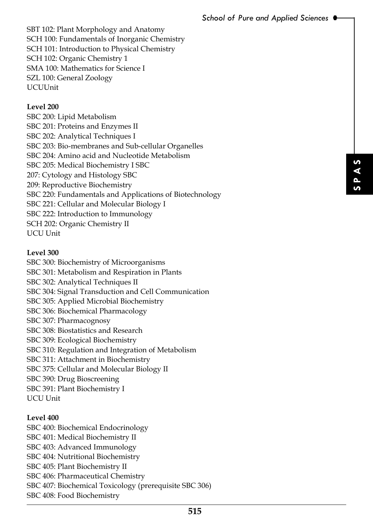SBT 102: Plant Morphology and Anatomy SCH 100: Fundamentals of Inorganic Chemistry SCH 101: Introduction to Physical Chemistry SCH 102: Organic Chemistry 1 SMA 100: Mathematics for Science I SZL 100: General Zoology UCUUnit

#### **Level 200**

SBC 200: Lipid Metabolism SBC 201: Proteins and Enzymes II SBC 202: Analytical Techniques I SBC 203: Bio-membranes and Sub-cellular Organelles SBC 204: Amino acid and Nucleotide Metabolism SBC 205: Medical Biochemistry I SBC 207: Cytology and Histology SBC 209: Reproductive Biochemistry SBC 220: Fundamentals and Applications of Biotechnology SBC 221: Cellular and Molecular Biology I SBC 222: Introduction to Immunology SCH 202: Organic Chemistry II UCU Unit

#### **Level 300**

**Example 35**<br> **SEC 306**<br> **SIS** SBC 300: Biochemistry of Microorganisms SBC 301: Metabolism and Respiration in Plants SBC 302: Analytical Techniques II SBC 304: Signal Transduction and Cell Communication SBC 305: Applied Microbial Biochemistry SBC 306: Biochemical Pharmacology SBC 307: Pharmacognosy SBC 308: Biostatistics and Research SBC 309: Ecological Biochemistry SBC 310: Regulation and Integration of Metabolism SBC 311: Attachment in Biochemistry SBC 375: Cellular and Molecular Biology II SBC 390: Drug Bioscreening SBC 391: Plant Biochemistry I UCU Unit

## **Level 400**

SBC 400: Biochemical Endocrinology SBC 401: Medical Biochemistry II SBC 403: Advanced Immunology SBC 404: Nutritional Biochemistry SBC 405: Plant Biochemistry II SBC 406: Pharmaceutical Chemistry SBC 407: Biochemical Toxicology (prerequisite SBC 306) SBC 408: Food Biochemistry